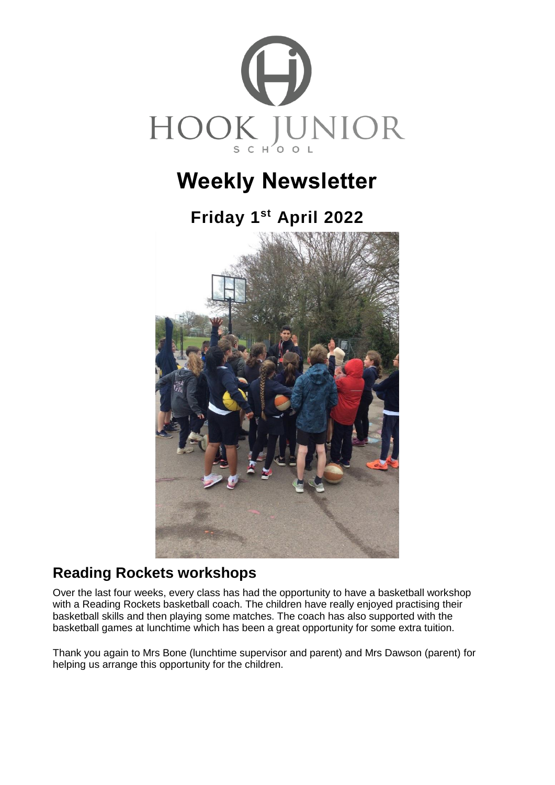

# **Weekly Newsletter**

# **Friday 1 st April 2022**



## **Reading Rockets workshops**

Over the last four weeks, every class has had the opportunity to have a basketball workshop with a Reading Rockets basketball coach. The children have really enjoyed practising their basketball skills and then playing some matches. The coach has also supported with the basketball games at lunchtime which has been a great opportunity for some extra tuition.

Thank you again to Mrs Bone (lunchtime supervisor and parent) and Mrs Dawson (parent) for helping us arrange this opportunity for the children.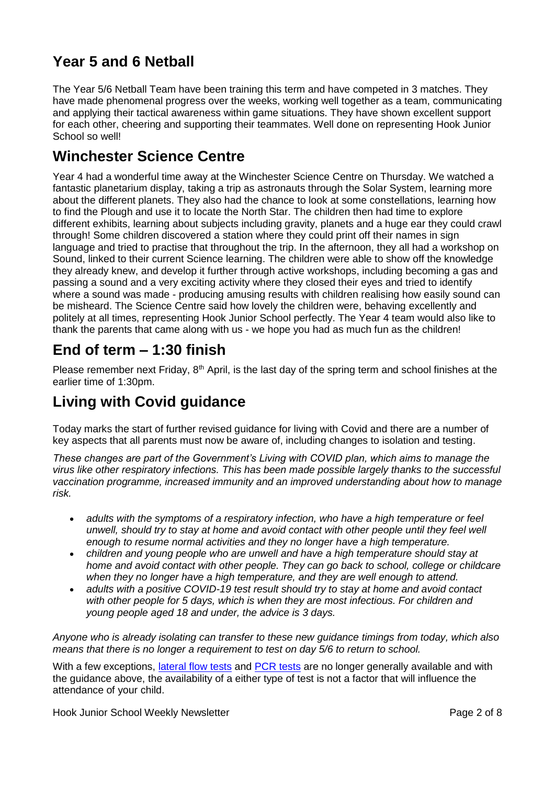# **Year 5 and 6 Netball**

The Year 5/6 Netball Team have been training this term and have competed in 3 matches. They have made phenomenal progress over the weeks, working well together as a team, communicating and applying their tactical awareness within game situations. They have shown excellent support for each other, cheering and supporting their teammates. Well done on representing Hook Junior School so well!

### **Winchester Science Centre**

Year 4 had a wonderful time away at the Winchester Science Centre on Thursday. We watched a fantastic planetarium display, taking a trip as astronauts through the Solar System, learning more about the different planets. They also had the chance to look at some constellations, learning how to find the Plough and use it to locate the North Star. The children then had time to explore different exhibits, learning about subjects including gravity, planets and a huge ear they could crawl through! Some children discovered a station where they could print off their names in sign language and tried to practise that throughout the trip. In the afternoon, they all had a workshop on Sound, linked to their current Science learning. The children were able to show off the knowledge they already knew, and develop it further through active workshops, including becoming a gas and passing a sound and a very exciting activity where they closed their eyes and tried to identify where a sound was made - producing amusing results with children realising how easily sound can be misheard. The Science Centre said how lovely the children were, behaving excellently and politely at all times, representing Hook Junior School perfectly. The Year 4 team would also like to thank the parents that came along with us - we hope you had as much fun as the children!

## **End of term – 1:30 finish**

Please remember next Friday, 8<sup>th</sup> April, is the last day of the spring term and school finishes at the earlier time of 1:30pm.

## **Living with Covid guidance**

Today marks the start of further revised guidance for living with Covid and there are a number of key aspects that all parents must now be aware of, including changes to isolation and testing.

*These changes are part of the Government's Living with COVID plan, which aims to manage the virus like other respiratory infections. This has been made possible largely thanks to the successful vaccination programme, increased immunity and an improved understanding about how to manage risk.*

- *adults with the symptoms of a respiratory infection, who have a high temperature or feel unwell, should try to stay at home and avoid contact with other people until they feel well enough to resume normal activities and they no longer have a high temperature.*
- *children and young people who are unwell and have a high temperature should stay at home and avoid contact with other people. They can go back to school, college or childcare when they no longer have a high temperature, and they are well enough to attend.*
- *adults with a positive COVID-19 test result should try to stay at home and avoid contact with other people for 5 days, which is when they are most infectious. For children and young people aged 18 and under, the advice is 3 days.*

*Anyone who is already isolating can transfer to these new guidance timings from today, which also means that there is no longer a requirement to test on day 5/6 to return to school.*

With a few exceptions, [lateral](https://www.gov.uk/order-coronavirus-rapid-lateral-flow-tests) flow [tests](https://www.gov.uk/get-coronavirus-test) and PCR tests are no longer generally available and with the guidance above, the availability of a either type of test is not a factor that will influence the attendance of your child.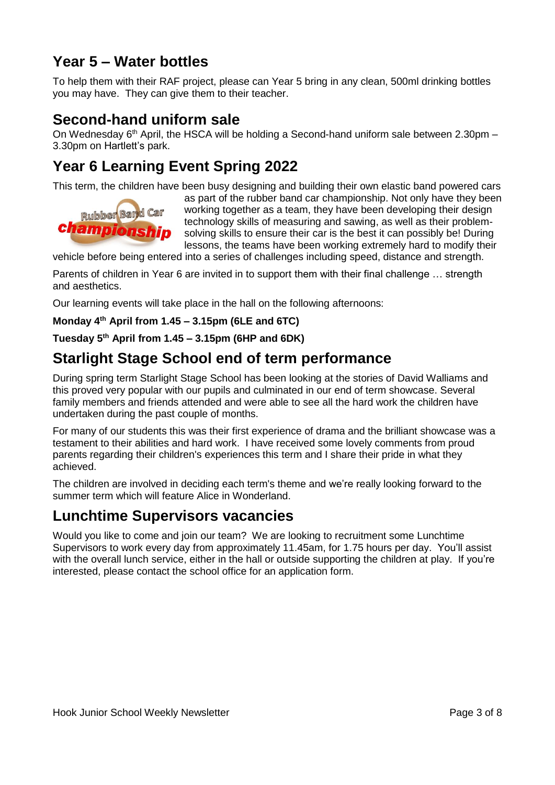# **Year 5 – Water bottles**

To help them with their RAF project, please can Year 5 bring in any clean, 500ml drinking bottles you may have. They can give them to their teacher.

### **Second-hand uniform sale**

On Wednesday 6<sup>th</sup> April, the HSCA will be holding a Second-hand uniform sale between 2.30pm -3.30pm on Hartlett's park.

# **Year 6 Learning Event Spring 2022**

This term, the children have been busy designing and building their own elastic band powered cars



as part of the rubber band car championship. Not only have they been working together as a team, they have been developing their design technology skills of measuring and sawing, as well as their problemsolving skills to ensure their car is the best it can possibly be! During lessons, the teams have been working extremely hard to modify their

vehicle before being entered into a series of challenges including speed, distance and strength.

Parents of children in Year 6 are invited in to support them with their final challenge … strength and aesthetics.

Our learning events will take place in the hall on the following afternoons:

**Monday 4th April from 1.45 – 3.15pm (6LE and 6TC)**

#### **Tuesday 5th April from 1.45 – 3.15pm (6HP and 6DK)**

### **Starlight Stage School end of term performance**

During spring term Starlight Stage School has been looking at the stories of David Walliams and this proved very popular with our pupils and culminated in our end of term showcase. Several family members and friends attended and were able to see all the hard work the children have undertaken during the past couple of months.

For many of our students this was their first experience of drama and the brilliant showcase was a testament to their abilities and hard work. I have received some lovely comments from proud parents regarding their children's experiences this term and I share their pride in what they achieved.

The children are involved in deciding each term's theme and we're really looking forward to the summer term which will feature Alice in Wonderland.

### **Lunchtime Supervisors vacancies**

Would you like to come and join our team? We are looking to recruitment some Lunchtime Supervisors to work every day from approximately 11.45am, for 1.75 hours per day. You'll assist with the overall lunch service, either in the hall or outside supporting the children at play. If you're interested, please contact the school office for an application form.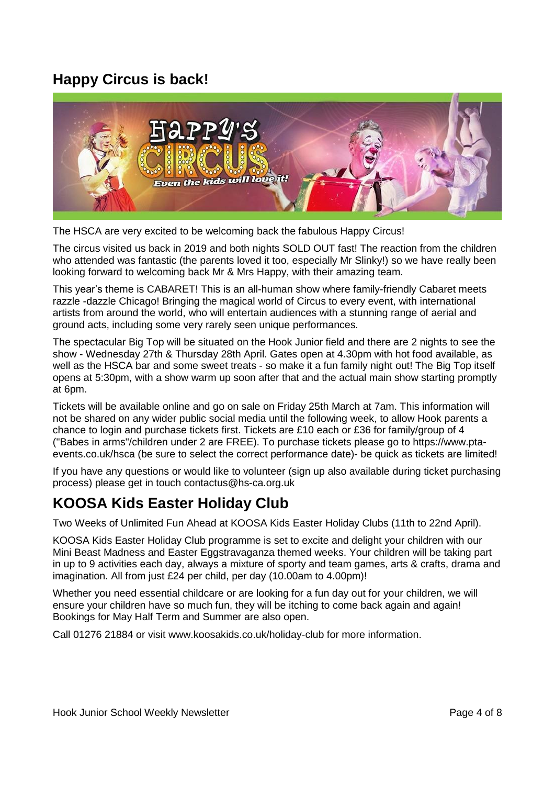# **Happy Circus is back!**



The HSCA are very excited to be welcoming back the fabulous Happy Circus!

The circus visited us back in 2019 and both nights SOLD OUT fast! The reaction from the children who attended was fantastic (the parents loved it too, especially Mr Slinky!) so we have really been looking forward to welcoming back Mr & Mrs Happy, with their amazing team.

This year's theme is CABARET! This is an all-human show where family-friendly Cabaret meets razzle -dazzle Chicago! Bringing the magical world of Circus to every event, with international artists from around the world, who will entertain audiences with a stunning range of aerial and ground acts, including some very rarely seen unique performances.

The spectacular Big Top will be situated on the Hook Junior field and there are 2 nights to see the show - Wednesday 27th & Thursday 28th April. Gates open at 4.30pm with hot food available, as well as the HSCA bar and some sweet treats - so make it a fun family night out! The Big Top itself opens at 5:30pm, with a show warm up soon after that and the actual main show starting promptly at 6pm.

Tickets will be available online and go on sale on Friday 25th March at 7am. This information will not be shared on any wider public social media until the following week, to allow Hook parents a chance to login and purchase tickets first. Tickets are £10 each or £36 for family/group of 4 ("Babes in arms"/children under 2 are FREE). To purchase tickets please go to [https://www.pta](https://www.pta-events.co.uk/hsca)[events.co.uk/hsca](https://www.pta-events.co.uk/hsca) (be sure to select the correct performance date)- be quick as tickets are limited!

If you have any questions or would like to volunteer (sign up also available during ticket purchasing process) please get in touch [contactus@hs-ca.org.uk](mailto:contactus@hs-ca.org.uk)

# **KOOSA Kids Easter Holiday Club**

Two Weeks of Unlimited Fun Ahead at KOOSA Kids Easter Holiday Clubs (11th to 22nd April).

KOOSA Kids Easter Holiday Club programme is set to excite and delight your children with our Mini Beast Madness and Easter Eggstravaganza themed weeks. Your children will be taking part in up to 9 activities each day, always a mixture of sporty and team games, arts & crafts, drama and imagination. All from just £24 per child, per day (10.00am to 4.00pm)!

Whether you need essential childcare or are looking for a fun day out for your children, we will ensure your children have so much fun, they will be itching to come back again and again! Bookings for May Half Term and Summer are also open.

Call 01276 21884 or visit [www.koosakids.co.uk/holiday-club](http://www.koosakids.co.uk/holiday-club) for more information.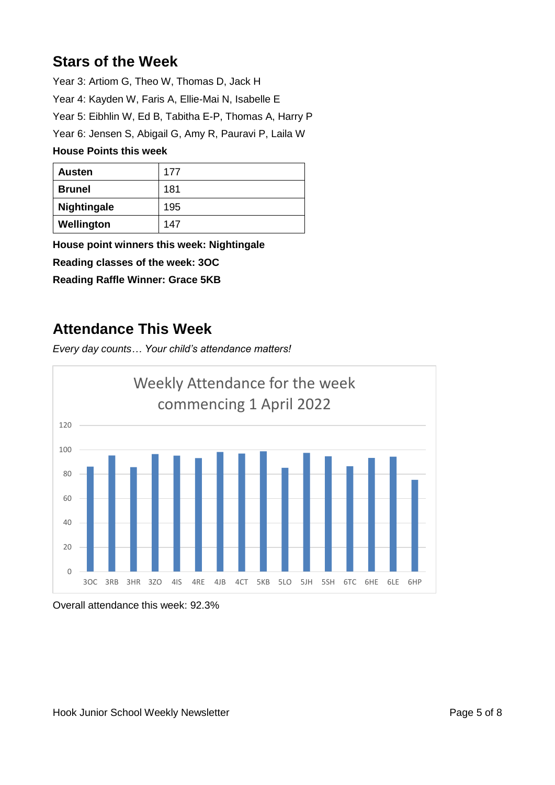# **Stars of the Week**

Year 3: Artiom G, Theo W, Thomas D, Jack H Year 4: Kayden W, Faris A, Ellie-Mai N, Isabelle E Year 5: Eibhlin W, Ed B, Tabitha E-P, Thomas A, Harry P Year 6: Jensen S, Abigail G, Amy R, Pauravi P, Laila W **House Points this week**

| <b>Austen</b>      | 177 |
|--------------------|-----|
| <b>Brunel</b>      | 181 |
| <b>Nightingale</b> | 195 |
| Wellington         | 147 |

**House point winners this week: Nightingale Reading classes of the week: 3OC**

**Reading Raffle Winner: Grace 5KB**

### **Attendance This Week**

*Every day counts… Your child's attendance matters!*



Overall attendance this week: 92.3%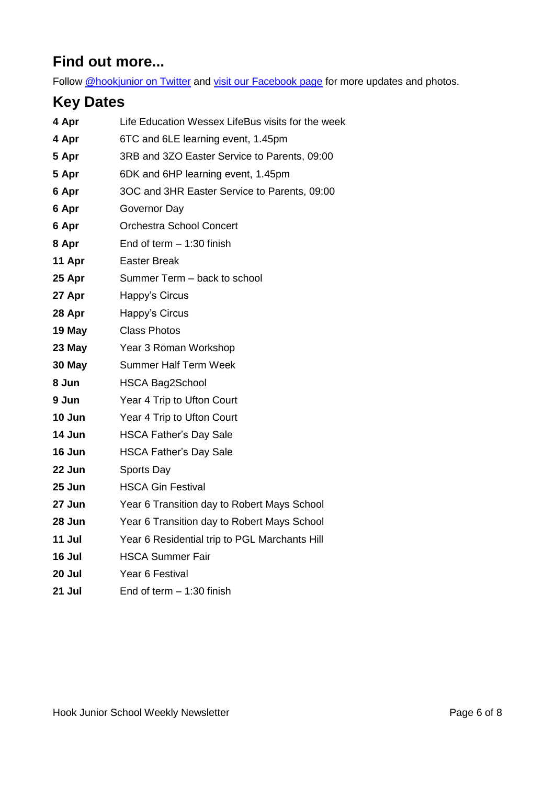# **Find out more...**

Follow [@hookjunior on Twitter](https://twitter.com/hookjunior) and [visit our Facebook page](https://en-gb.facebook.com/hookjuniorschool/) for more updates and photos.

# **Key Dates**

| 4 Apr  | Life Education Wessex LifeBus visits for the week |
|--------|---------------------------------------------------|
| 4 Apr  | 6TC and 6LE learning event, 1.45pm                |
| 5 Apr  | 3RB and 3ZO Easter Service to Parents, 09:00      |
| 5 Apr  | 6DK and 6HP learning event, 1.45pm                |
| 6 Apr  | 3OC and 3HR Easter Service to Parents, 09:00      |
| 6 Apr  | Governor Day                                      |
| 6 Apr  | <b>Orchestra School Concert</b>                   |
| 8 Apr  | End of term $-1:30$ finish                        |
| 11 Apr | <b>Easter Break</b>                               |
| 25 Apr | Summer Term - back to school                      |
| 27 Apr | Happy's Circus                                    |
| 28 Apr | Happy's Circus                                    |
| 19 May | <b>Class Photos</b>                               |
| 23 May | Year 3 Roman Workshop                             |
| 30 May | <b>Summer Half Term Week</b>                      |
| 8 Jun  | <b>HSCA Bag2School</b>                            |
| 9 Jun  | Year 4 Trip to Ufton Court                        |
| 10 Jun | Year 4 Trip to Ufton Court                        |
| 14 Jun | <b>HSCA Father's Day Sale</b>                     |
| 16 Jun | <b>HSCA Father's Day Sale</b>                     |
| 22 Jun | Sports Day                                        |
| 25 Jun | <b>HSCA Gin Festival</b>                          |
| 27 Jun | Year 6 Transition day to Robert Mays School       |
| 28 Jun | Year 6 Transition day to Robert Mays School       |
| 11 Jul | Year 6 Residential trip to PGL Marchants Hill     |
| 16 Jul | <b>HSCA Summer Fair</b>                           |
| 20 Jul | Year 6 Festival                                   |
| 21 Jul | End of term $-1:30$ finish                        |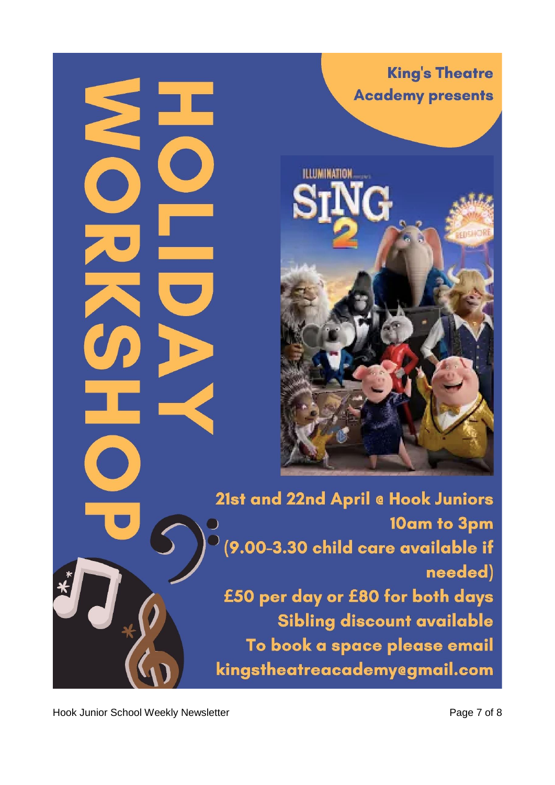**King's Theatre Academy presents** 



21st and 22nd April @ Hook Juniors 10am to 3pm (9.00-3.30 child care available if needed) £50 per day or £80 for both days Sibling discount available To book a space please email kingstheatreacademy@gmail.com

Hook Junior School Weekly Newsletter **Page 7 of 8** Page 7 of 8

Ź

 $\bullet$